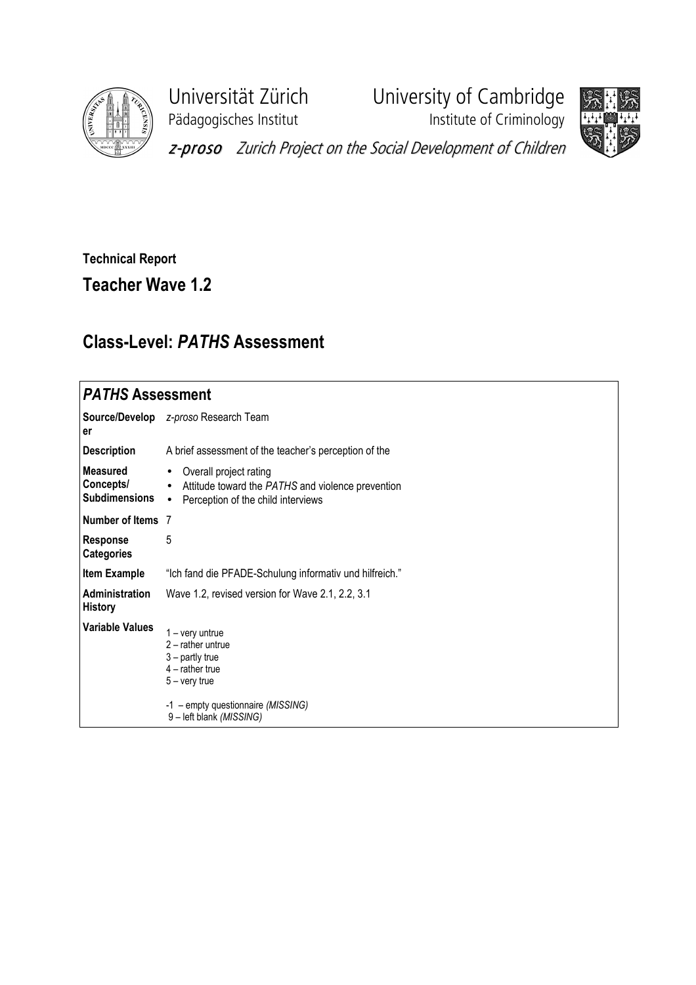

Pädagogisches Institut **Institute of Criminology** 

Universität Zürich University of Cambridge



z-proso Zurich Project on the Social Development of Children

## Technical Report

Teacher Wave 1.2

## Class-Level: PATHS Assessment

| <b>PATHS Assessment</b>                              |                                                                                                                                                                       |
|------------------------------------------------------|-----------------------------------------------------------------------------------------------------------------------------------------------------------------------|
| Source/Develop<br>er                                 | z-proso Research Team                                                                                                                                                 |
| <b>Description</b>                                   | A brief assessment of the teacher's perception of the                                                                                                                 |
| <b>Measured</b><br>Concepts/<br><b>Subdimensions</b> | Overall project rating<br>$\bullet$<br>Attitude toward the PATHS and violence prevention<br>$\bullet$<br>Perception of the child interviews<br>$\bullet$              |
| Number of Items 7                                    |                                                                                                                                                                       |
| <b>Response</b><br><b>Categories</b>                 | 5                                                                                                                                                                     |
| <b>Item Example</b>                                  | "Ich fand die PFADE-Schulung informativ und hilfreich."                                                                                                               |
| <b>Administration</b><br><b>History</b>              | Wave 1.2, revised version for Wave 2.1, 2.2, 3.1                                                                                                                      |
| <b>Variable Values</b>                               | $1 - \text{very}$<br>$2$ – rather untrue<br>$3$ – partly true<br>$4$ – rather true<br>$5 -$ very true<br>-1 - empty questionnaire (MISSING)<br>9-left blank (MISSING) |